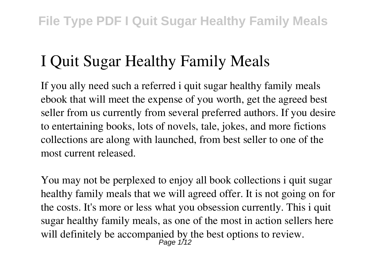## **I Quit Sugar Healthy Family Meals**

If you ally need such a referred **i quit sugar healthy family meals** ebook that will meet the expense of you worth, get the agreed best seller from us currently from several preferred authors. If you desire to entertaining books, lots of novels, tale, jokes, and more fictions collections are along with launched, from best seller to one of the most current released.

You may not be perplexed to enjoy all book collections i quit sugar healthy family meals that we will agreed offer. It is not going on for the costs. It's more or less what you obsession currently. This i quit sugar healthy family meals, as one of the most in action sellers here will definitely be accompanied by the best options to review.<br> $P_{\text{age 1/12}}$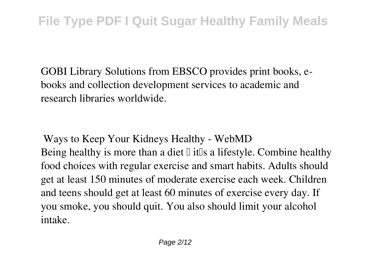GOBI Library Solutions from EBSCO provides print books, ebooks and collection development services to academic and research libraries worldwide.

**Ways to Keep Your Kidneys Healthy - WebMD** Being healthy is more than a diet  $\mathbb I$  it  $\mathbb I$  is a lifestyle. Combine healthy food choices with regular exercise and smart habits. Adults should get at least 150 minutes of moderate exercise each week. Children and teens should get at least 60 minutes of exercise every day. If you smoke, you should quit. You also should limit your alcohol intake.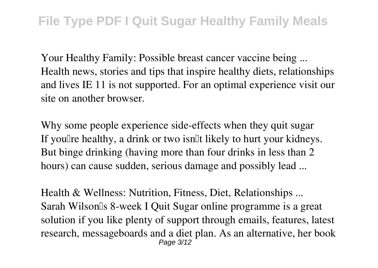**Your Healthy Family: Possible breast cancer vaccine being ...** Health news, stories and tips that inspire healthy diets, relationships and lives IE 11 is not supported. For an optimal experience visit our site on another browser.

**Why some people experience side-effects when they quit sugar** If you're healthy, a drink or two isn't likely to hurt your kidneys. But binge drinking (having more than four drinks in less than 2 hours) can cause sudden, serious damage and possibly lead ...

**Health & Wellness: Nutrition, Fitness, Diet, Relationships ...** Sarah Wilson's 8-week I Quit Sugar online programme is a great solution if you like plenty of support through emails, features, latest research, messageboards and a diet plan. As an alternative, her book Page 3/12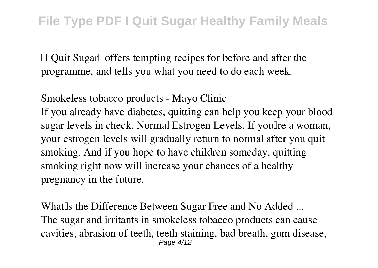'I Quit Sugar' offers tempting recipes for before and after the programme, and tells you what you need to do each week.

**Smokeless tobacco products - Mayo Clinic** If you already have diabetes, quitting can help you keep your blood sugar levels in check. Normal Estrogen Levels. If you'lre a woman, your estrogen levels will gradually return to normal after you quit smoking. And if you hope to have children someday, quitting smoking right now will increase your chances of a healthy pregnancy in the future.

What<sup>Is</sup> the Difference Between Sugar Free and No Added ... The sugar and irritants in smokeless tobacco products can cause cavities, abrasion of teeth, teeth staining, bad breath, gum disease, Page 4/12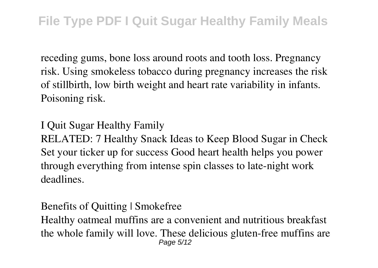receding gums, bone loss around roots and tooth loss. Pregnancy risk. Using smokeless tobacco during pregnancy increases the risk of stillbirth, low birth weight and heart rate variability in infants. Poisoning risk.

**I Quit Sugar Healthy Family**

RELATED: 7 Healthy Snack Ideas to Keep Blood Sugar in Check Set your ticker up for success Good heart health helps you power through everything from intense spin classes to late-night work deadlines.

**Benefits of Quitting | Smokefree**

Healthy oatmeal muffins are a convenient and nutritious breakfast the whole family will love. These delicious gluten-free muffins are Page 5/12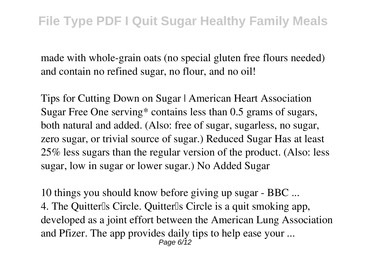made with whole-grain oats (no special gluten free flours needed) and contain no refined sugar, no flour, and no oil!

**Tips for Cutting Down on Sugar | American Heart Association** Sugar Free One serving\* contains less than 0.5 grams of sugars, both natural and added. (Also: free of sugar, sugarless, no sugar, zero sugar, or trivial source of sugar.) Reduced Sugar Has at least 25% less sugars than the regular version of the product. (Also: less sugar, low in sugar or lower sugar.) No Added Sugar

**10 things you should know before giving up sugar - BBC ...** 4. The Quitterlls Circle. Quitterlls Circle is a quit smoking app, developed as a joint effort between the American Lung Association and Pfizer. The app provides daily tips to help ease your ... Page 6/12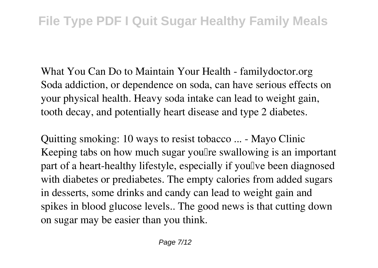**What You Can Do to Maintain Your Health - familydoctor.org** Soda addiction, or dependence on soda, can have serious effects on your physical health. Heavy soda intake can lead to weight gain, tooth decay, and potentially heart disease and type 2 diabetes.

**Quitting smoking: 10 ways to resist tobacco ... - Mayo Clinic** Keeping tabs on how much sugar you'll regard swallowing is an important part of a heart-healthy lifestyle, especially if you'lve been diagnosed with diabetes or prediabetes. The empty calories from added sugars in desserts, some drinks and candy can lead to weight gain and spikes in blood glucose levels.. The good news is that cutting down on sugar may be easier than you think.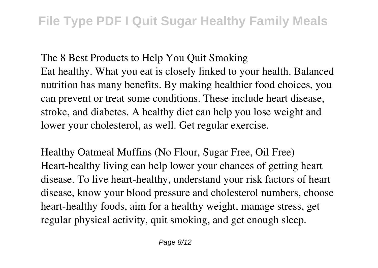**The 8 Best Products to Help You Quit Smoking** Eat healthy. What you eat is closely linked to your health. Balanced nutrition has many benefits. By making healthier food choices, you can prevent or treat some conditions. These include heart disease, stroke, and diabetes. A healthy diet can help you lose weight and lower your cholesterol, as well. Get regular exercise.

**Healthy Oatmeal Muffins (No Flour, Sugar Free, Oil Free)** Heart-healthy living can help lower your chances of getting heart disease. To live heart-healthy, understand your risk factors of heart disease, know your blood pressure and cholesterol numbers, choose heart-healthy foods, aim for a healthy weight, manage stress, get regular physical activity, quit smoking, and get enough sleep.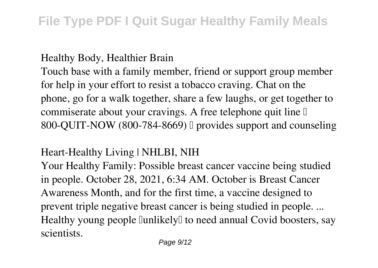## **Healthy Body, Healthier Brain**

Touch base with a family member, friend or support group member for help in your effort to resist a tobacco craving. Chat on the phone, go for a walk together, share a few laughs, or get together to commiserate about your cravings. A free telephone quit line  $\mathbb I$ 800-QUIT-NOW (800-784-8669) I provides support and counseling

## **Heart-Healthy Living | NHLBI, NIH**

Your Healthy Family: Possible breast cancer vaccine being studied in people. October 28, 2021, 6:34 AM. October is Breast Cancer Awareness Month, and for the first time, a vaccine designed to prevent triple negative breast cancer is being studied in people. ... Healthy young people [unlikely] to need annual Covid boosters, say scientists.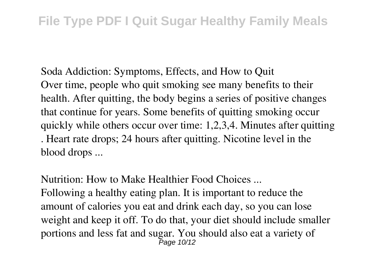**Soda Addiction: Symptoms, Effects, and How to Quit** Over time, people who quit smoking see many benefits to their health. After quitting, the body begins a series of positive changes that continue for years. Some benefits of quitting smoking occur quickly while others occur over time: 1,2,3,4. Minutes after quitting . Heart rate drops; 24 hours after quitting. Nicotine level in the blood drops ...

**Nutrition: How to Make Healthier Food Choices ...**

Following a healthy eating plan. It is important to reduce the amount of calories you eat and drink each day, so you can lose weight and keep it off. To do that, your diet should include smaller portions and less fat and sugar. You should also eat a variety of Page 10/12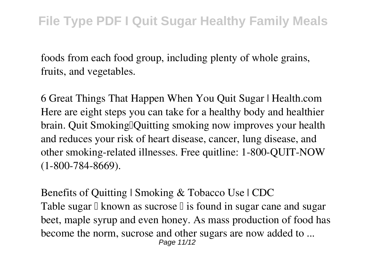foods from each food group, including plenty of whole grains, fruits, and vegetables.

**6 Great Things That Happen When You Quit Sugar | Health.com** Here are eight steps you can take for a healthy body and healthier brain. Quit Smoking Duitting smoking now improves your health and reduces your risk of heart disease, cancer, lung disease, and other smoking-related illnesses. Free quitline: 1-800-QUIT-NOW (1-800-784-8669).

**Benefits of Quitting | Smoking & Tobacco Use | CDC** Table sugar  $\Box$  known as sucrose  $\Box$  is found in sugar cane and sugar beet, maple syrup and even honey. As mass production of food has become the norm, sucrose and other sugars are now added to ... Page 11/12